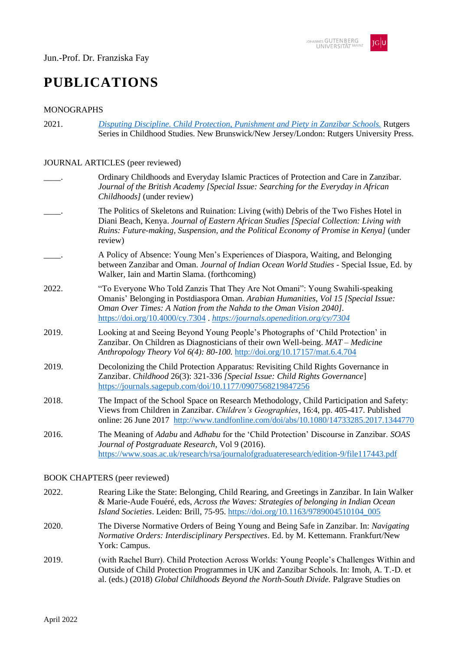# **PUBLICATIONS**

# MONOGRAPHS

2021. *[Disputing Discipline. Child Protection, Punishment and Piety in Zanzibar Schools.](https://www.rutgersuniversitypress.org/disputing-discipline/9781978821736)* Rutgers Series in Childhood Studies. New Brunswick/New Jersey/London: Rutgers University Press.

#### JOURNAL ARTICLES (peer reviewed)

|       | Ordinary Childhoods and Everyday Islamic Practices of Protection and Care in Zanzibar.<br>Journal of the British Academy [Special Issue: Searching for the Everyday in African<br>Childhoods] (under review)                                                                                                            |
|-------|-------------------------------------------------------------------------------------------------------------------------------------------------------------------------------------------------------------------------------------------------------------------------------------------------------------------------|
|       | The Politics of Skeletons and Ruination: Living (with) Debris of the Two Fishes Hotel in<br>Diani Beach, Kenya. Journal of Eastern African Studies [Special Collection: Living with<br>Ruins: Future-making, Suspension, and the Political Economy of Promise in Kenya] (under<br>review)                               |
|       | A Policy of Absence: Young Men's Experiences of Diaspora, Waiting, and Belonging<br>between Zanzibar and Oman. Journal of Indian Ocean World Studies - Special Issue, Ed. by<br>Walker, Iain and Martin Slama. (forthcoming)                                                                                            |
| 2022. | "To Everyone Who Told Zanzis That They Are Not Omani": Young Swahili-speaking<br>Omanis' Belonging in Postdiaspora Oman. Arabian Humanities, Vol 15 [Special Issue:<br>Oman Over Times: A Nation from the Nahda to the Oman Vision 2040].<br>https://doi.org/10.4000/cy.7304 . https://journals.openedition.org/cy/7304 |
| 2019. | Looking at and Seeing Beyond Young People's Photographs of 'Child Protection' in<br>Zanzibar. On Children as Diagnosticians of their own Well-being. MAT – Medicine<br>Anthropology Theory Vol 6(4): 80-100. http://doi.org/10.17157/mat.6.4.704                                                                        |
| 2019. | Decolonizing the Child Protection Apparatus: Revisiting Child Rights Governance in<br>Zanzibar. Childhood 26(3): 321-336 [Special Issue: Child Rights Governance]<br>https://journals.sagepub.com/doi/10.1177/0907568219847256                                                                                          |
| 2018. | The Impact of the School Space on Research Methodology, Child Participation and Safety:<br>Views from Children in Zanzibar. Children's Geographies, 16:4, pp. 405-417. Published<br>online: 26 June 2017 http://www.tandfonline.com/doi/abs/10.1080/14733285.2017.1344770                                               |
| 2016. | The Meaning of Adabu and Adhabu for the 'Child Protection' Discourse in Zanzibar. SOAS<br>Journal of Postgraduate Research, Vol 9 (2016).<br>https://www.soas.ac.uk/research/rsa/journalofgraduateresearch/edition-9/file117443.pdf                                                                                     |

#### BOOK CHAPTERS (peer reviewed)

- 2022. Rearing Like the State: Belonging, Child Rearing, and Greetings in Zanzibar. In Iain Walker & Marie-Aude Fouéré, eds, *Across the Waves: Strategies of belonging in Indian Ocean Island Societies*. Leiden: Brill, 75-95. [https://doi.org/10.1163/9789004510104\\_005](https://doi.org/10.1163/9789004510104_005)
- 2020. The Diverse Normative Orders of Being Young and Being Safe in Zanzibar. In: *Navigating Normative Orders: Interdisciplinary Perspectives*. Ed. by M. Kettemann. Frankfurt/New York: Campus.
- 2019. (with Rachel Burr). Child Protection Across Worlds: Young People's Challenges Within and Outside of Child Protection Programmes in UK and Zanzibar Schools. In: Imoh, A. T.-D. et al. (eds.) (2018) *Global Childhoods Beyond the North-South Divide.* Palgrave Studies on